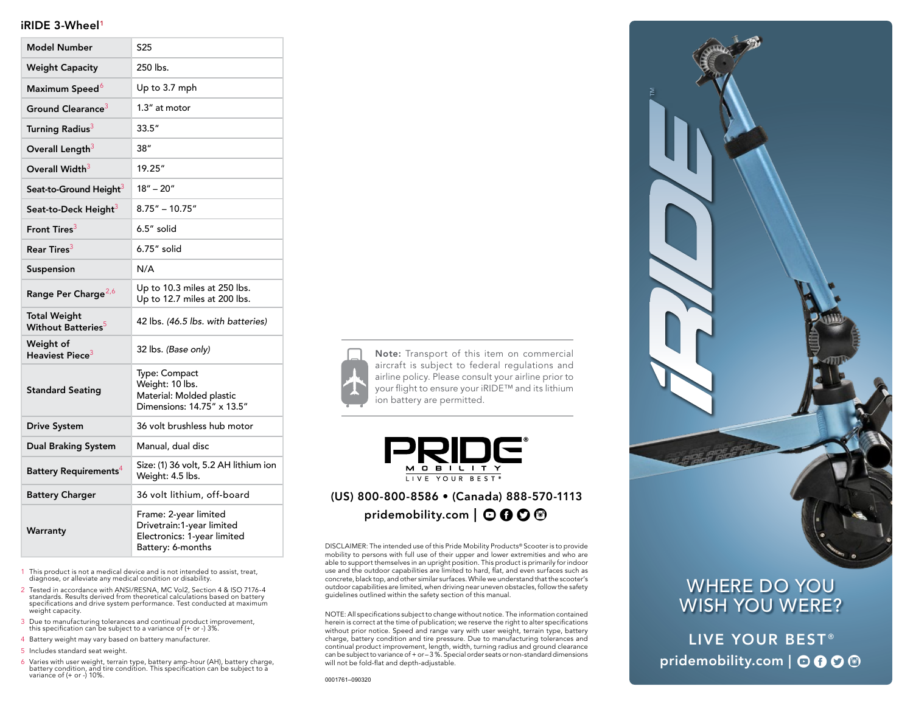### iRIDE 3-Wheel1

| <b>Model Number</b>                                   | S <sub>25</sub>                                                                                        |
|-------------------------------------------------------|--------------------------------------------------------------------------------------------------------|
| <b>Weight Capacity</b>                                | 250 lbs.                                                                                               |
| Maximum Speed <sup>6</sup>                            | Up to 3.7 mph                                                                                          |
| Ground Clearance <sup>3</sup>                         | 1.3" at motor                                                                                          |
| Turning Radius <sup>3</sup>                           | 33.5''                                                                                                 |
| Overall Length <sup>3</sup>                           | 38''                                                                                                   |
| Overall Width <sup>3</sup>                            | 19.25"                                                                                                 |
| Seat-to-Ground Height <sup>3</sup>                    | $18" - 20"$                                                                                            |
| Seat-to-Deck Height <sup>3</sup>                      | $8.75" - 10.75"$                                                                                       |
| Front Tires <sup>3</sup>                              | 6.5" solid                                                                                             |
| Rear Tires $^3$                                       | 6.75" solid                                                                                            |
| Suspension                                            | N/A                                                                                                    |
| Range Per Charge <sup>2,6</sup>                       | Up to 10.3 miles at 250 lbs.<br>Up to 12.7 miles at 200 lbs.                                           |
| <b>Total Weight</b><br>Without Batteries <sup>5</sup> | 42 lbs. (46.5 lbs. with batteries)                                                                     |
| Weight of<br>Heaviest Piece $^3$                      | 32 lbs. (Base only)                                                                                    |
| <b>Standard Seating</b>                               | Type: Compact<br>Weight: 10 lbs.<br>Material: Molded plastic<br>Dimensions: 14.75" x 13.5"             |
| <b>Drive System</b>                                   | 36 volt brushless hub motor                                                                            |
| <b>Dual Braking System</b>                            | Manual, dual disc                                                                                      |
| Battery Requirements <sup>4</sup>                     | Size: (1) 36 volt, 5.2 AH lithium ion<br>Weight: 4.5 lbs.                                              |
| <b>Battery Charger</b>                                | 36 volt lithium, off-board                                                                             |
| Warranty                                              | Frame: 2-year limited<br>Drivetrain:1-year limited<br>Electronics: 1-year limited<br>Battery: 6-months |

1 This product is not a medical device and is not intended to assist, treat, diagnose, or alleviate any medical condition or disability.

- 2 Tested in accordance with ANSI/RESNA, MC Vol2, Section 4 & ISO 7176-4 standards. Results derived from theoretical calculations based on battery specifications and drive system performance. Test conducted at maximum weight capacity.
- 3 Due to manufacturing tolerances and continual product improvement, this specification can be subject to a variance of (+ or -) 3%.
- 4 Battery weight may vary based on battery manufacturer.
- 5 Includes standard seat weight.
- 6 Varies with user weight, terrain type, battery amp-hour (AH), battery charge, battery condition, and tire condition. This specification can be subject to a variance of (+ or -) 10%.



Note: Transport of this item on commercial aircraft is subject to federal regulations and airline policy. Please consult your airline prior to your flight to ensure your iRIDE™ and its lithium ion battery are permitted.



# (US) 800-800-8586 • (Canada) 888-570-1113 pridemobility.com  $\mid$   $\odot$   $\odot$   $\odot$   $\odot$

DISCLAIMER: The intended use of this Pride Mobility Products® Scooter is to provide mobility to persons with full use of their upper and lower extremities and who are able to support themselves in an upright position. This product is primarily for indoor use and the outdoor capabilities are limited to hard, flat, and even surfaces such as concrete, black top, and other similar surfaces. While we understand that the scooter's outdoor capabilities are limited, when driving near uneven obstacles, follow the safety guidelines outlined within the safety section of this manual.

NOTE: All specifications subject to change without notice. The information contained herein is correct at the time of publication; we reserve the right to alter specifications without prior notice. Speed and range vary with user weight, terrain type, battery charge, battery condition and tire pressure. Due to manufacturing tolerances and continual product improvement, length, width, turning radius and ground clearance can be subject to variance of + or – 3 %. Special order seats or non-standard dimensions will not be fold-flat and depth-adjustable.



# WHERE DO YOU WISH YOU WERE?

LIVE YOUR BEST® pridemobility.com | OOO